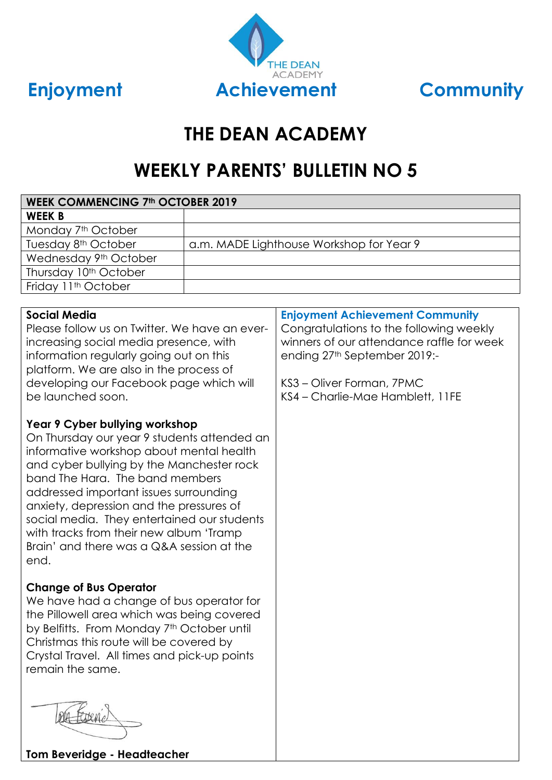



# **THE DEAN ACADEMY**

# **WEEKLY PARENTS' BULLETIN NO 5**

| <b>WEEK COMMENCING 7th OCTOBER 2019</b>                                                                                                                                                                                                                                                                                                                                                                      |                                          |                                                                                                                                                                                                                                 |  |  |  |  |
|--------------------------------------------------------------------------------------------------------------------------------------------------------------------------------------------------------------------------------------------------------------------------------------------------------------------------------------------------------------------------------------------------------------|------------------------------------------|---------------------------------------------------------------------------------------------------------------------------------------------------------------------------------------------------------------------------------|--|--|--|--|
| <b>WEEK B</b>                                                                                                                                                                                                                                                                                                                                                                                                |                                          |                                                                                                                                                                                                                                 |  |  |  |  |
| Monday 7 <sup>th</sup> October                                                                                                                                                                                                                                                                                                                                                                               |                                          |                                                                                                                                                                                                                                 |  |  |  |  |
| Tuesday 8 <sup>th</sup> October                                                                                                                                                                                                                                                                                                                                                                              | a.m. MADE Lighthouse Workshop for Year 9 |                                                                                                                                                                                                                                 |  |  |  |  |
| Wednesday 9th October                                                                                                                                                                                                                                                                                                                                                                                        |                                          |                                                                                                                                                                                                                                 |  |  |  |  |
| Thursday 10th October                                                                                                                                                                                                                                                                                                                                                                                        |                                          |                                                                                                                                                                                                                                 |  |  |  |  |
| Friday 11 <sup>th</sup> October                                                                                                                                                                                                                                                                                                                                                                              |                                          |                                                                                                                                                                                                                                 |  |  |  |  |
|                                                                                                                                                                                                                                                                                                                                                                                                              |                                          |                                                                                                                                                                                                                                 |  |  |  |  |
| <b>Social Media</b><br>Please follow us on Twitter. We have an ever-<br>increasing social media presence, with<br>information regularly going out on this<br>platform. We are also in the process of<br>developing our Facebook page which will<br>be launched soon.<br>Year 9 Cyber bullying workshop                                                                                                       |                                          | <b>Enjoyment Achievement Community</b><br>Congratulations to the following weekly<br>winners of our attendance raffle for week<br>ending 27th September 2019:-<br>KS3 - Oliver Forman, 7PMC<br>KS4 - Charlie-Mae Hamblett, 11FE |  |  |  |  |
| On Thursday our year 9 students attended an<br>informative workshop about mental health<br>and cyber bullying by the Manchester rock<br>band The Hara. The band members<br>addressed important issues surrounding<br>anxiety, depression and the pressures of<br>social media. They entertained our students<br>with tracks from their new album 'Tramp<br>Brain' and there was a Q&A session at the<br>end. |                                          |                                                                                                                                                                                                                                 |  |  |  |  |
| <b>Change of Bus Operator</b><br>We have had a change of bus operator for<br>the Pillowell area which was being covered<br>by Belfitts. From Monday 7th October until<br>Christmas this route will be covered by<br>Crystal Travel. All times and pick-up points<br>remain the same.                                                                                                                         |                                          |                                                                                                                                                                                                                                 |  |  |  |  |
|                                                                                                                                                                                                                                                                                                                                                                                                              |                                          |                                                                                                                                                                                                                                 |  |  |  |  |

**Tom Beveridge - Headteacher**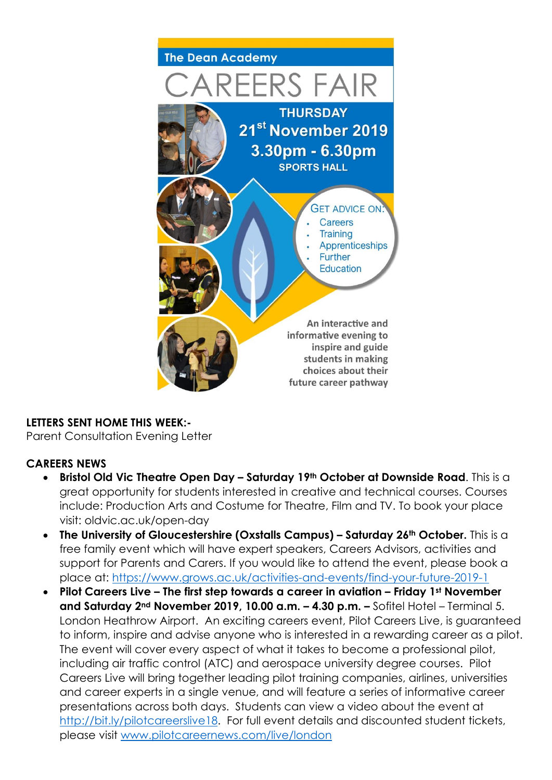

## **LETTERS SENT HOME THIS WEEK:-**

Parent Consultation Evening Letter

# **CAREERS NEWS**

- **Bristol Old Vic Theatre Open Day – Saturday 19th October at Downside Road**. This is a great opportunity for students interested in creative and technical courses. Courses include: Production Arts and Costume for Theatre, Film and TV. To book your place visit: oldvic.ac.uk/open-day
- **The University of Gloucestershire (Oxstalls Campus) – Saturday 26th October.** This is a free family event which will have expert speakers, Careers Advisors, activities and support for Parents and Carers. If you would like to attend the event, please book a place at:<https://www.grows.ac.uk/activities-and-events/find-your-future-2019-1>
- **Pilot Careers Live – The first step towards a career in aviation – Friday 1st November and Saturday 2nd November 2019, 10.00 a.m. – 4.30 p.m. –** Sofitel Hotel – Terminal 5. London Heathrow Airport. An exciting careers event, Pilot Careers Live, is guaranteed to inform, inspire and advise anyone who is interested in a rewarding career as a pilot. The event will cover every aspect of what it takes to become a professional pilot, including air traffic control (ATC) and aerospace university degree courses. Pilot Careers Live will bring together leading pilot training companies, airlines, universities and career experts in a single venue, and will feature a series of informative career presentations across both days. Students can view a video about the event at [http://bit.ly/pilotcareerslive18.](http://bit.ly/pilotcareerslive18) For full event details and discounted student tickets, please visit [www.pilotcareernews.com/live/london](http://www.pilotcareernews.com/live/london)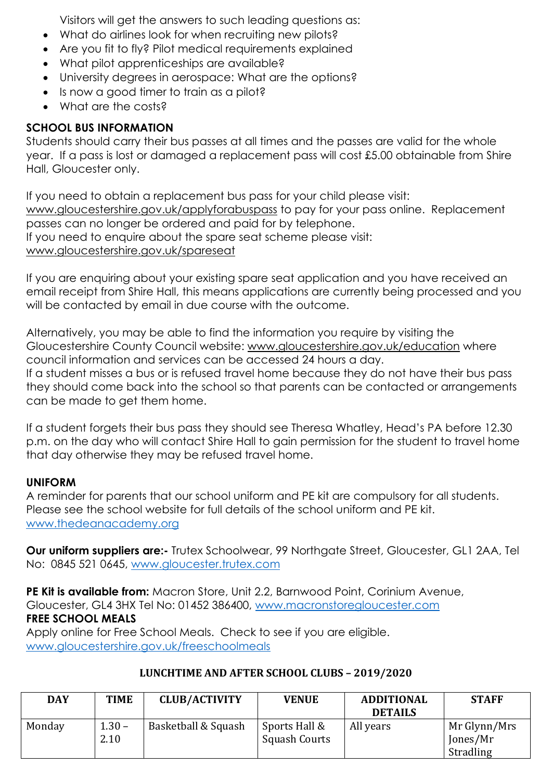Visitors will get the answers to such leading questions as:

- What do airlines look for when recruiting new pilots?
- Are you fit to fly? Pilot medical requirements explained
- What pilot apprenticeships are available?
- University degrees in aerospace: What are the options?
- Is now a good timer to train as a pilot?
- What are the costs?

## **SCHOOL BUS INFORMATION**

Students should carry their bus passes at all times and the passes are valid for the whole year. If a pass is lost or damaged a replacement pass will cost £5.00 obtainable from Shire Hall, Gloucester only.

If you need to obtain a replacement bus pass for your child please visit: [www.gloucestershire.gov.uk/applyforabuspass](http://www.gloucestershire.gov.uk/applyforabuspass) to pay for your pass online. Replacement passes can no longer be ordered and paid for by telephone. If you need to enquire about the spare seat scheme please visit: [www.gloucestershire.gov.uk/spareseat](http://www.gloucestershire.gov.uk/spareseat)

If you are enquiring about your existing spare seat application and you have received an email receipt from Shire Hall, this means applications are currently being processed and you will be contacted by email in due course with the outcome.

Alternatively, you may be able to find the information you require by visiting the Gloucestershire County Council website: [www.gloucestershire.gov.uk/education](http://www.gloucestershire.gov.uk/education) where council information and services can be accessed 24 hours a day. If a student misses a bus or is refused travel home because they do not have their bus pass they should come back into the school so that parents can be contacted or arrangements can be made to get them home.

If a student forgets their bus pass they should see Theresa Whatley, Head's PA before 12.30 p.m. on the day who will contact Shire Hall to gain permission for the student to travel home that day otherwise they may be refused travel home.

## **UNIFORM**

A reminder for parents that our school uniform and PE kit are compulsory for all students. Please see the school website for full details of the school uniform and PE kit. [www.thedeanacademy.org](http://www.thedeanacademy.org/)

**Our uniform suppliers are:-** Trutex Schoolwear, 99 Northgate Street, Gloucester, GL1 2AA, Tel No: 0845 521 0645, [www.gloucester.trutex.com](http://www.gloucester.trutex.com/)

**PE Kit is available from:** Macron Store, Unit 2.2, Barnwood Point, Corinium Avenue, Gloucester, GL4 3HX Tel No: 01452 386400, [www.macronstoregloucester.com](http://www.macronstoregloucester.com/) **FREE SCHOOL MEALS** Apply online for Free School Meals. Check to see if you are eligible.

[www.gloucestershire.gov.uk/freeschoolmeals](http://www.gloucestershire.gov.uk/freeschoolmeals)

| <b>DAY</b> | <b>TIME</b>      | <b>CLUB/ACTIVITY</b> | <b>VENUE</b>                   | <b>ADDITIONAL</b><br><b>DETAILS</b> | <b>STAFF</b>                          |
|------------|------------------|----------------------|--------------------------------|-------------------------------------|---------------------------------------|
| Monday     | $1.30 -$<br>2.10 | Basketball & Squash  | Sports Hall &<br>Squash Courts | All years                           | Mr Glynn/Mrs<br>Jones/Mr<br>Stradling |

## **LUNCHTIME AND AFTER SCHOOL CLUBS – 2019/2020**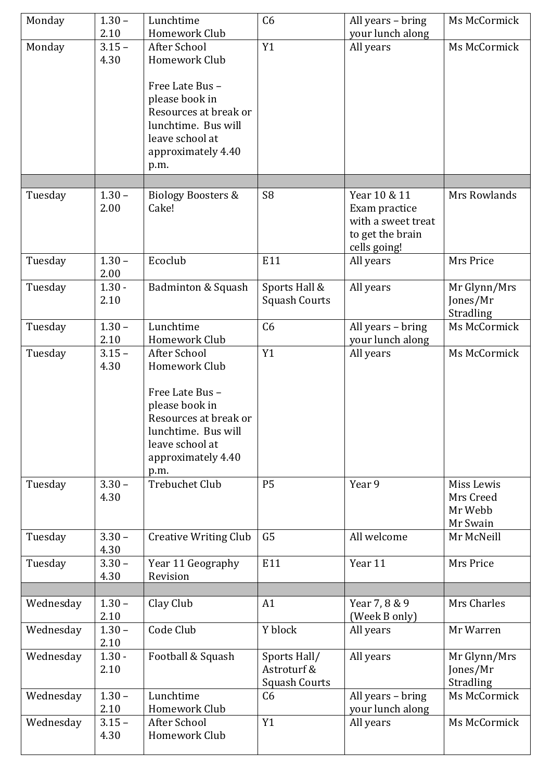| Monday    | $1.30 -$<br>2.10 | Lunchtime                            | C <sub>6</sub>       | All years – bring              | Ms McCormick |
|-----------|------------------|--------------------------------------|----------------------|--------------------------------|--------------|
| Monday    | $3.15 -$         | Homework Club<br>After School        | Y1                   | your lunch along<br>All years  | Ms McCormick |
|           | 4.30             | Homework Club                        |                      |                                |              |
|           |                  |                                      |                      |                                |              |
|           |                  | Free Late Bus-                       |                      |                                |              |
|           |                  | please book in                       |                      |                                |              |
|           |                  | Resources at break or                |                      |                                |              |
|           |                  | lunchtime. Bus will                  |                      |                                |              |
|           |                  | leave school at                      |                      |                                |              |
|           |                  | approximately 4.40                   |                      |                                |              |
|           |                  | p.m.                                 |                      |                                |              |
| Tuesday   | $1.30 -$         | <b>Biology Boosters &amp;</b>        | S <sub>8</sub>       | Year 10 & 11                   | Mrs Rowlands |
|           | 2.00             | Cake!                                |                      | Exam practice                  |              |
|           |                  |                                      |                      | with a sweet treat             |              |
|           |                  |                                      |                      | to get the brain               |              |
|           |                  |                                      |                      | cells going!                   |              |
| Tuesday   | $1.30 -$         | Ecoclub                              | E11                  | All years                      | Mrs Price    |
|           | 2.00             |                                      |                      |                                |              |
| Tuesday   | $1.30 -$         | Badminton & Squash                   | Sports Hall &        | All years                      | Mr Glynn/Mrs |
|           | 2.10             |                                      | <b>Squash Courts</b> |                                | Jones/Mr     |
|           |                  |                                      |                      |                                | Stradling    |
| Tuesday   | $1.30 -$         | Lunchtime                            | C6                   | All years - bring              | Ms McCormick |
| Tuesday   | 2.10<br>$3.15 -$ | Homework Club<br><b>After School</b> | Y1                   | your lunch along<br>All years  | Ms McCormick |
|           | 4.30             | Homework Club                        |                      |                                |              |
|           |                  |                                      |                      |                                |              |
|           |                  | Free Late Bus-                       |                      |                                |              |
|           |                  | please book in                       |                      |                                |              |
|           |                  | Resources at break or                |                      |                                |              |
|           |                  | lunchtime. Bus will                  |                      |                                |              |
|           |                  | leave school at                      |                      |                                |              |
|           |                  | approximately 4.40                   |                      |                                |              |
| Tuesday   | $3.30 -$         | p.m.<br><b>Trebuchet Club</b>        | <b>P5</b>            | Year 9                         | Miss Lewis   |
|           | 4.30             |                                      |                      |                                | Mrs Creed    |
|           |                  |                                      |                      |                                | Mr Webb      |
|           |                  |                                      |                      |                                | Mr Swain     |
| Tuesday   | $3.30 -$         | <b>Creative Writing Club</b>         | G <sub>5</sub>       | All welcome                    | Mr McNeill   |
|           | 4.30             |                                      |                      |                                |              |
| Tuesday   | $3.30 -$         | Year 11 Geography                    | E11                  | Year 11                        | Mrs Price    |
|           | 4.30             | Revision                             |                      |                                |              |
|           |                  |                                      |                      |                                |              |
| Wednesday | $1.30 -$<br>2.10 | Clay Club                            | A1                   | Year 7, 8 & 9<br>(Week B only) | Mrs Charles  |
| Wednesday | $1.30 -$         | Code Club                            | Y block              | All years                      | Mr Warren    |
|           | 2.10             |                                      |                      |                                |              |
| Wednesday | $1.30 -$         | Football & Squash                    | Sports Hall/         | All years                      | Mr Glynn/Mrs |
|           | 2.10             |                                      | Astroturf &          |                                | Jones/Mr     |
|           |                  |                                      | <b>Squash Courts</b> |                                | Stradling    |
| Wednesday | $1.30 -$         | Lunchtime                            | C6                   | All years - bring              | Ms McCormick |
|           | 2.10             | Homework Club                        |                      | your lunch along               |              |
| Wednesday | $3.15 -$         | <b>After School</b>                  | Y1                   | All years                      | Ms McCormick |
|           | 4.30             | Homework Club                        |                      |                                |              |
|           |                  |                                      |                      |                                |              |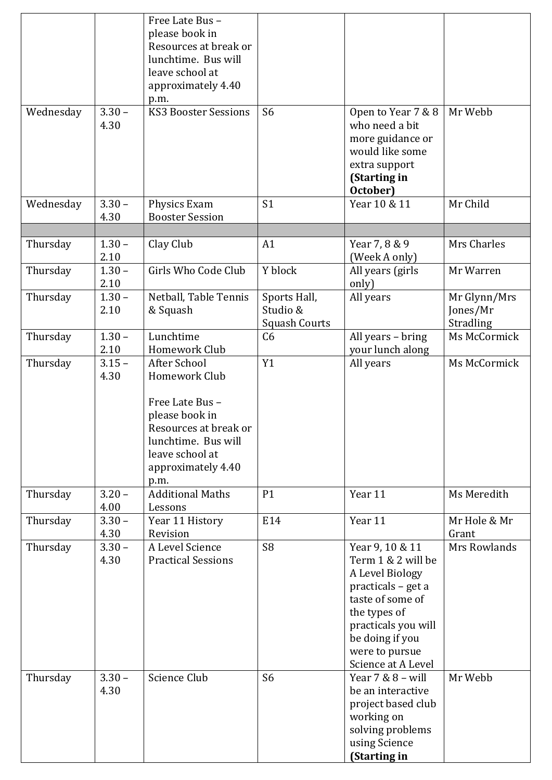|           |                  | Free Late Bus-<br>please book in<br>Resources at break or                                                                                                          |                                                  |                                                                                                                                                                                                      |                                       |
|-----------|------------------|--------------------------------------------------------------------------------------------------------------------------------------------------------------------|--------------------------------------------------|------------------------------------------------------------------------------------------------------------------------------------------------------------------------------------------------------|---------------------------------------|
|           |                  | lunchtime. Bus will<br>leave school at<br>approximately 4.40                                                                                                       |                                                  |                                                                                                                                                                                                      |                                       |
|           |                  | p.m.                                                                                                                                                               |                                                  |                                                                                                                                                                                                      |                                       |
| Wednesday | $3.30 -$<br>4.30 | <b>KS3 Booster Sessions</b>                                                                                                                                        | S <sub>6</sub>                                   | Open to Year 7 & 8<br>who need a bit<br>more guidance or<br>would like some<br>extra support<br>(Starting in<br>October)                                                                             | Mr Webb                               |
| Wednesday | $3.30 -$<br>4.30 | Physics Exam<br><b>Booster Session</b>                                                                                                                             | S <sub>1</sub>                                   | Year 10 & 11                                                                                                                                                                                         | Mr Child                              |
|           |                  |                                                                                                                                                                    |                                                  |                                                                                                                                                                                                      |                                       |
| Thursday  | $1.30 -$<br>2.10 | Clay Club                                                                                                                                                          | A1                                               | Year 7, 8 & 9<br>(Week A only)                                                                                                                                                                       | Mrs Charles                           |
| Thursday  | $1.30 -$<br>2.10 | Girls Who Code Club                                                                                                                                                | Y block                                          | All years (girls<br>only)                                                                                                                                                                            | Mr Warren                             |
| Thursday  | $1.30 -$<br>2.10 | Netball, Table Tennis<br>& Squash                                                                                                                                  | Sports Hall,<br>Studio &<br><b>Squash Courts</b> | All years                                                                                                                                                                                            | Mr Glynn/Mrs<br>Jones/Mr<br>Stradling |
| Thursday  | $1.30 -$<br>2.10 | Lunchtime<br>Homework Club                                                                                                                                         | C <sub>6</sub>                                   | All years - bring<br>your lunch along                                                                                                                                                                | Ms McCormick                          |
| Thursday  | $3.15 -$<br>4.30 | After School<br>Homework Club<br>Free Late Bus-<br>please book in<br>Resources at break or<br>lunchtime. Bus will<br>leave school at<br>approximately 4.40<br>p.m. | Y1                                               | All years                                                                                                                                                                                            | Ms McCormick                          |
| Thursday  | $3.20 -$<br>4.00 | <b>Additional Maths</b><br>Lessons                                                                                                                                 | P1                                               | Year 11                                                                                                                                                                                              | Ms Meredith                           |
| Thursday  | $3.30 -$<br>4.30 | Year 11 History<br>Revision                                                                                                                                        | E14                                              | Year 11                                                                                                                                                                                              | Mr Hole & Mr<br>Grant                 |
| Thursday  | $3.30 -$<br>4.30 | A Level Science<br><b>Practical Sessions</b>                                                                                                                       | S <sub>8</sub>                                   | Year 9, 10 & 11<br>Term 1 & 2 will be<br>A Level Biology<br>practicals - get a<br>taste of some of<br>the types of<br>practicals you will<br>be doing if you<br>were to pursue<br>Science at A Level | Mrs Rowlands                          |
| Thursday  | $3.30 -$<br>4.30 | Science Club                                                                                                                                                       | S <sub>6</sub>                                   | Year $7 & 8 -$ will<br>be an interactive<br>project based club<br>working on<br>solving problems<br>using Science<br>(Starting in                                                                    | Mr Webb                               |